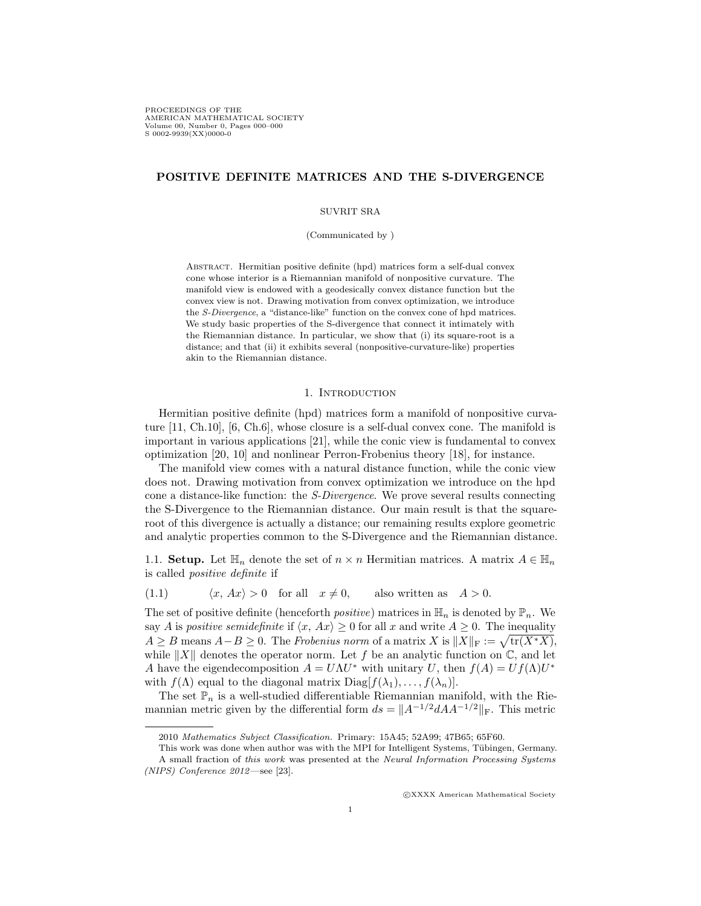PROCEEDINGS OF THE AMERICAN MATHEMATICAL SOCIETY Volume 00, Number 0, Pages 000–000 S 0002-9939(XX)0000-0

# POSITIVE DEFINITE MATRICES AND THE S-DIVERGENCE

## SUVRIT SRA

(Communicated by )

Abstract. Hermitian positive definite (hpd) matrices form a self-dual convex cone whose interior is a Riemannian manifold of nonpositive curvature. The manifold view is endowed with a geodesically convex distance function but the convex view is not. Drawing motivation from convex optimization, we introduce the S-Divergence, a "distance-like" function on the convex cone of hpd matrices. We study basic properties of the S-divergence that connect it intimately with the Riemannian distance. In particular, we show that (i) its square-root is a distance; and that (ii) it exhibits several (nonpositive-curvature-like) properties akin to the Riemannian distance.

### 1. INTRODUCTION

Hermitian positive definite (hpd) matrices form a manifold of nonpositive curvature [11, Ch.10], [6, Ch.6], whose closure is a self-dual convex cone. The manifold is important in various applications [21], while the conic view is fundamental to convex optimization [20, 10] and nonlinear Perron-Frobenius theory [18], for instance.

The manifold view comes with a natural distance function, while the conic view does not. Drawing motivation from convex optimization we introduce on the hpd cone a distance-like function: the S-Divergence. We prove several results connecting the S-Divergence to the Riemannian distance. Our main result is that the squareroot of this divergence is actually a distance; our remaining results explore geometric and analytic properties common to the S-Divergence and the Riemannian distance.

1.1. **Setup.** Let  $\mathbb{H}_n$  denote the set of  $n \times n$  Hermitian matrices. A matrix  $A \in \mathbb{H}_n$ is called positive definite if

(1.1)  $\langle x, Ax \rangle > 0$  for all  $x \neq 0$ , also written as  $A > 0$ .

The set of positive definite (henceforth *positive*) matrices in  $\mathbb{H}_n$  is denoted by  $\mathbb{P}_n$ . We say A is positive semidefinite if  $\langle x, Ax \rangle \geq 0$  for all x and write  $A \geq 0$ . The inequality  $A \geq B$  means  $A - B \geq 0$ . The Frobenius norm of a matrix X is  $||X||_F := \sqrt{\text{tr}(X^*X)}$ , while  $||X||$  denotes the operator norm. Let f be an analytic function on  $\mathbb{C}$ , and let A have the eigendecomposition  $A = U\Lambda U^*$  with unitary U, then  $f(A) = Uf(\Lambda)U^*$ with  $f(\Lambda)$  equal to the diagonal matrix  $Diag[f(\lambda_1), \ldots, f(\lambda_n)].$ 

The set  $\mathbb{P}_n$  is a well-studied differentiable Riemannian manifold, with the Riemannian metric given by the differential form  $ds = ||A^{-1/2}dA^{-1/2}||_F$ . This metric

c XXXX American Mathematical Society

<sup>2010</sup> Mathematics Subject Classification. Primary: 15A45; 52A99; 47B65; 65F60.

This work was done when author was with the MPI for Intelligent Systems, Tübingen, Germany. A small fraction of this work was presented at the Neural Information Processing Systems (NIPS) Conference 2012—see [23].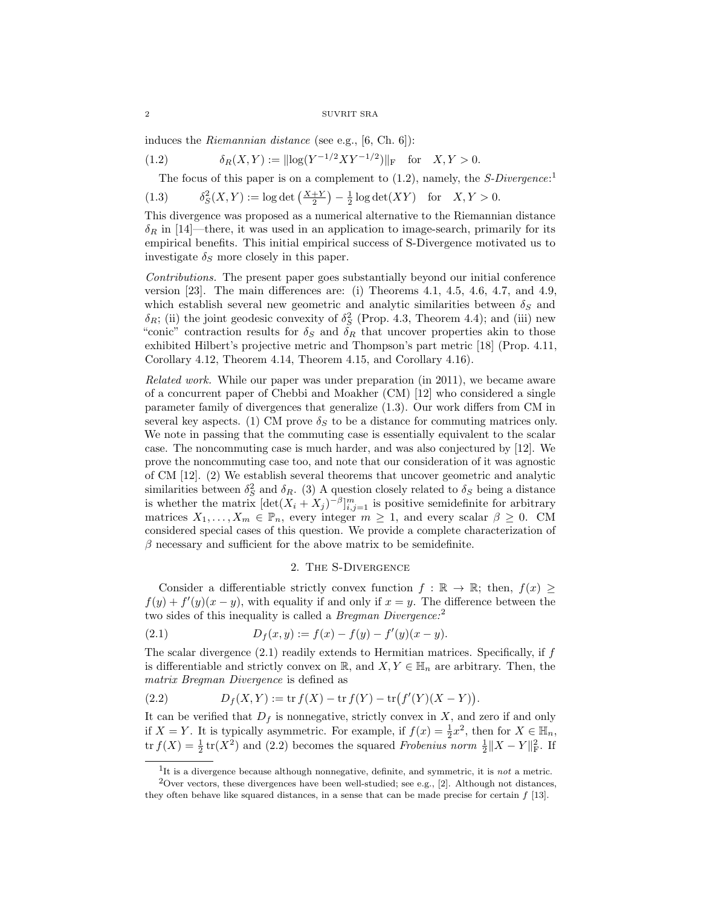induces the *Riemannian distance* (see e.g.,  $[6, Ch. 6]$ ):

(1.2) 
$$
\delta_R(X,Y) := ||\log(Y^{-1/2}XY^{-1/2})||_F \text{ for } X,Y > 0.
$$

The focus of this paper is on a complement to  $(1.2)$ , namely, the *S-Divergence*:<sup>1</sup>

(1.3) 
$$
\delta_S^2(X, Y) := \log \det \left( \frac{X+Y}{2} \right) - \frac{1}{2} \log \det(XY) \text{ for } X, Y > 0.
$$

This divergence was proposed as a numerical alternative to the Riemannian distance  $\delta_R$  in [14]—there, it was used in an application to image-search, primarily for its empirical benefits. This initial empirical success of S-Divergence motivated us to investigate  $\delta_S$  more closely in this paper.

Contributions. The present paper goes substantially beyond our initial conference version [23]. The main differences are: (i) Theorems 4.1, 4.5, 4.6, 4.7, and 4.9, which establish several new geometric and analytic similarities between  $\delta_S$  and  $\delta_R$ ; (ii) the joint geodesic convexity of  $\delta_S^2$  (Prop. 4.3, Theorem 4.4); and (iii) new "conic" contraction results for  $\delta_S$  and  $\delta_R$  that uncover properties akin to those exhibited Hilbert's projective metric and Thompson's part metric [18] (Prop. 4.11, Corollary 4.12, Theorem 4.14, Theorem 4.15, and Corollary 4.16).

Related work. While our paper was under preparation (in 2011), we became aware of a concurrent paper of Chebbi and Moakher (CM) [12] who considered a single parameter family of divergences that generalize (1.3). Our work differs from CM in several key aspects. (1) CM prove  $\delta_S$  to be a distance for commuting matrices only. We note in passing that the commuting case is essentially equivalent to the scalar case. The noncommuting case is much harder, and was also conjectured by [12]. We prove the noncommuting case too, and note that our consideration of it was agnostic of CM [12]. (2) We establish several theorems that uncover geometric and analytic similarities between  $\delta_S^2$  and  $\delta_R$ . (3) A question closely related to  $\delta_S$  being a distance is whether the matrix  $[\det(X_i + X_j)^{-\beta}]_{i,j=1}^m$  is positive semidefinite for arbitrary matrices  $X_1, \ldots, X_m \in \mathbb{P}_n$ , every integer  $m \geq 1$ , and every scalar  $\beta \geq 0$ . CM considered special cases of this question. We provide a complete characterization of  $\beta$  necessary and sufficient for the above matrix to be semidefinite.

# 2. The S-Divergence

Consider a differentiable strictly convex function  $f : \mathbb{R} \to \mathbb{R}$ ; then,  $f(x)$  $f(y) + f'(y)(x - y)$ , with equality if and only if  $x = y$ . The difference between the two sides of this inequality is called a *Bregman Divergence*:<sup>2</sup>

(2.1) 
$$
D_f(x, y) := f(x) - f(y) - f'(y)(x - y).
$$

The scalar divergence  $(2.1)$  readily extends to Hermitian matrices. Specifically, if  $f$ is differentiable and strictly convex on R, and  $X, Y \in \mathbb{H}_n$  are arbitrary. Then, the matrix Bregman Divergence is defined as

(2.2) 
$$
D_f(X,Y) := \text{tr } f(X) - \text{tr } f(Y) - \text{tr } (f'(Y)(X-Y)).
$$

It can be verified that  $D_f$  is nonnegative, strictly convex in X, and zero if and only if  $X = Y$ . It is typically asymmetric. For example, if  $f(x) = \frac{1}{2}x^2$ , then for  $X \in \mathbb{H}_n$ , tr  $f(X) = \frac{1}{2}$  tr(X<sup>2</sup>) and (2.2) becomes the squared *Frobenius* norm  $\frac{1}{2} ||X - Y||_F^2$ . If

<sup>&</sup>lt;sup>1</sup>It is a divergence because although nonnegative, definite, and symmetric, it is *not* a metric.

<sup>&</sup>lt;sup>2</sup>Over vectors, these divergences have been well-studied; see e.g., [2]. Although not distances, they often behave like squared distances, in a sense that can be made precise for certain  $f$  [13].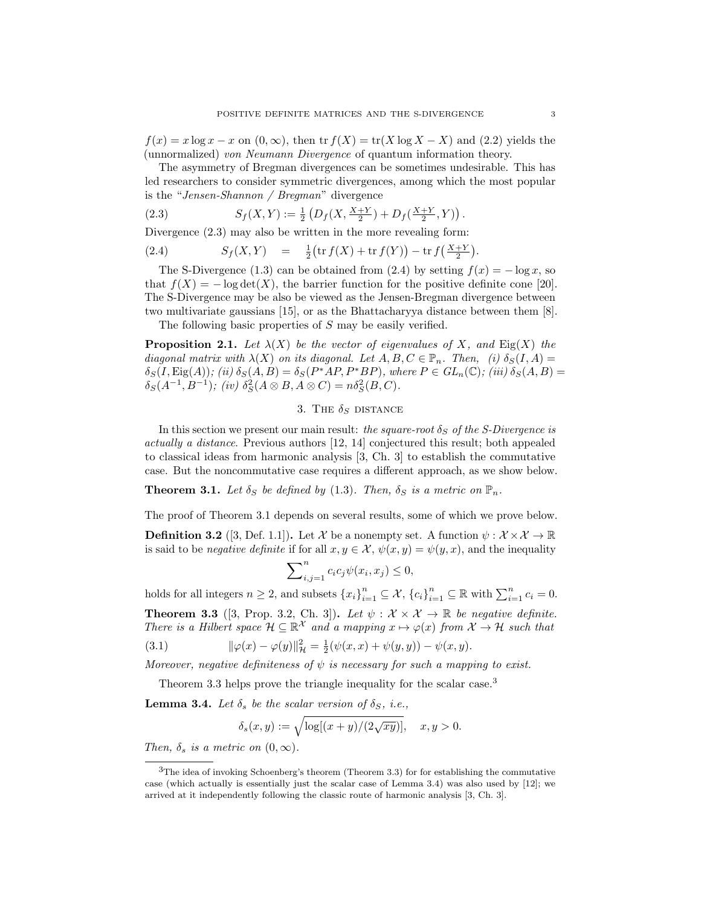$f(x) = x \log x - x$  on  $(0, \infty)$ , then  $\text{tr } f(X) = \text{tr}(X \log X - X)$  and  $(2.2)$  yields the (unnormalized) von Neumann Divergence of quantum information theory.

The asymmetry of Bregman divergences can be sometimes undesirable. This has led researchers to consider symmetric divergences, among which the most popular is the "Jensen-Shannon / Bregman" divergence

(2.3) 
$$
S_f(X,Y) := \frac{1}{2} \left( D_f(X, \frac{X+Y}{2}) + D_f(\frac{X+Y}{2}, Y) \right).
$$

Divergence  $(2.3)$  may also be written in the more revealing form:

(2.4) 
$$
S_f(X,Y) = \frac{1}{2} \left( \text{tr} f(X) + \text{tr} f(Y) \right) - \text{tr} f\left( \frac{X+Y}{2} \right).
$$

The S-Divergence (1.3) can be obtained from (2.4) by setting  $f(x) = -\log x$ , so that  $f(X) = -\log \det(X)$ , the barrier function for the positive definite cone [20]. The S-Divergence may be also be viewed as the Jensen-Bregman divergence between two multivariate gaussians [15], or as the Bhattacharyya distance between them [8].

The following basic properties of S may be easily verified.

**Proposition 2.1.** Let  $\lambda(X)$  be the vector of eigenvalues of X, and Eig(X) the diagonal matrix with  $\lambda(X)$  on its diagonal. Let  $A, B, C \in \mathbb{P}_n$ . Then, (i)  $\delta_S(I, A) =$  $\delta_S(I, \text{Eig}(A));$  (ii)  $\delta_S(A, B) = \delta_S(P^*AP, P^*BP)$ , where  $P \in GL_n(\mathbb{C});$  (iii)  $\delta_S(A, B) =$  $\delta_S(A^{-1}, B^{-1})$ ; (iv)  $\delta_S^2(A \otimes B, A \otimes C) = n \delta_S^2(B, C)$ .

# 3. The  $\delta_S$  distance

In this section we present our main result: the square-root  $\delta_S$  of the S-Divergence is actually a distance. Previous authors [12, 14] conjectured this result; both appealed to classical ideas from harmonic analysis [3, Ch. 3] to establish the commutative case. But the noncommutative case requires a different approach, as we show below.

**Theorem 3.1.** Let  $\delta_S$  be defined by (1.3). Then,  $\delta_S$  is a metric on  $\mathbb{P}_n$ .

The proof of Theorem 3.1 depends on several results, some of which we prove below.

**Definition 3.2** ([3, Def. 1.1]). Let X be a nonempty set. A function  $\psi : \mathcal{X} \times \mathcal{X} \to \mathbb{R}$ is said to be *negative definite* if for all  $x, y \in \mathcal{X}, \psi(x, y) = \psi(y, x)$ , and the inequality

$$
\sum\nolimits_{i,j=1}^n c_i c_j \psi(x_i, x_j) \le 0,
$$

holds for all integers  $n \geq 2$ , and subsets  $\{x_i\}_{i=1}^n \subseteq \mathcal{X}, \{c_i\}_{i=1}^n \subseteq \mathbb{R}$  with  $\sum_{i=1}^n c_i = 0$ .

**Theorem 3.3** ([3, Prop. 3.2, Ch. 3]). Let  $\psi : \mathcal{X} \times \mathcal{X} \to \mathbb{R}$  be negative definite. There is a Hilbert space  $\mathcal{H} \subseteq \mathbb{R}^{\mathcal{X}}$  and a mapping  $x \mapsto \varphi(x)$  from  $\mathcal{X} \to \mathcal{H}$  such that

(3.1) 
$$
\|\varphi(x) - \varphi(y)\|_{\mathcal{H}}^2 = \frac{1}{2}(\psi(x, x) + \psi(y, y)) - \psi(x, y).
$$

Moreover, negative definiteness of  $\psi$  is necessary for such a mapping to exist.

Theorem 3.3 helps prove the triangle inequality for the scalar case.<sup>3</sup>

**Lemma 3.4.** Let  $\delta_s$  be the scalar version of  $\delta_S$ , i.e.,

$$
\delta_s(x,y):=\sqrt{\log[(x+y)/(2\sqrt{xy})]},\quad x,y>0.
$$

Then,  $\delta_s$  is a metric on  $(0, \infty)$ .

<sup>3</sup>The idea of invoking Schoenberg's theorem (Theorem 3.3) for for establishing the commutative case (which actually is essentially just the scalar case of Lemma 3.4) was also used by [12]; we arrived at it independently following the classic route of harmonic analysis [3, Ch. 3].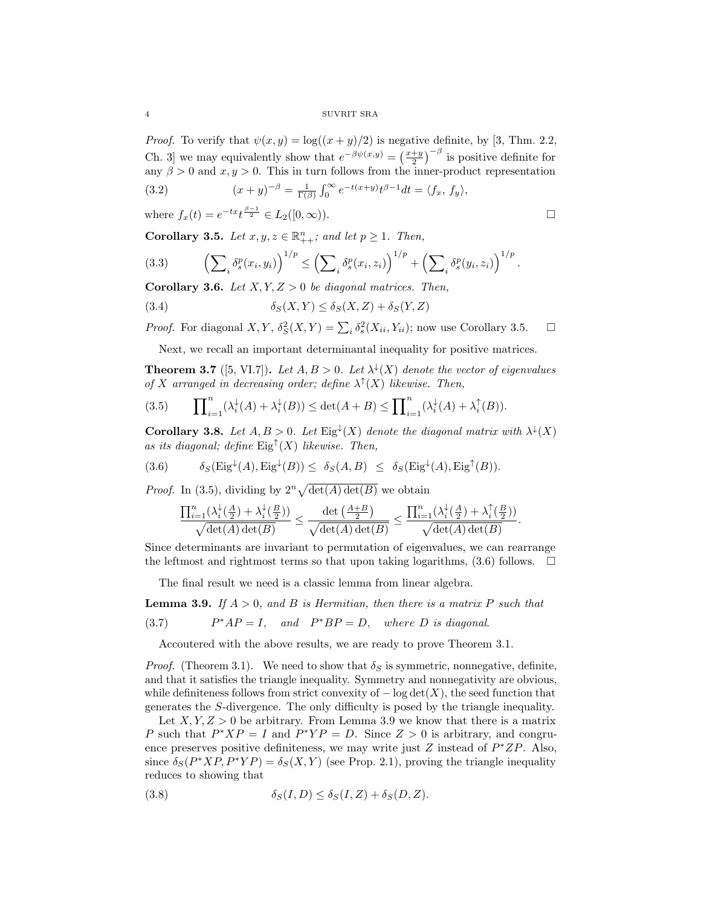4 SUVRIT SRA

*Proof.* To verify that  $\psi(x, y) = \log((x + y)/2)$  is negative definite, by [3, Thm. 2.2, Ch. 3 we may equivalently show that  $e^{-\beta \psi(x,y)} = \left(\frac{x+y}{2}\right)^{-\beta}$  is positive definite for any  $\beta > 0$  and  $x, y > 0$ . This in turn follows from the inner-product representation

(3.2) 
$$
(x + y)^{-\beta} = \frac{1}{\Gamma(\beta)} \int_0^{\infty} e^{-t(x+y)} t^{\beta - 1} dt = \langle f_x, f_y \rangle,
$$

where  $f_x(t) = e^{-tx}t^{\frac{\beta-1}{2}} \in L_2([0,\infty)).$ 

Corollary 3.5. Let  $x, y, z \in \mathbb{R}_{++}^n$ ; and let  $p \ge 1$ . Then,

$$
(3.3) \qquad \left(\sum_{i} \delta_s^p(x_i, y_i)\right)^{1/p} \le \left(\sum_{i} \delta_s^p(x_i, z_i)\right)^{1/p} + \left(\sum_{i} \delta_s^p(y_i, z_i)\right)^{1/p}.
$$

**Corollary 3.6.** Let  $X, Y, Z > 0$  be diagonal matrices. Then,

(3.4) 
$$
\delta_S(X,Y) \leq \delta_S(X,Z) + \delta_S(Y,Z)
$$

*Proof.* For diagonal  $X, Y, \delta_S^2(X, Y) = \sum_i \delta_s^2(X_{ii}, Y_{ii})$ ; now use Corollary 3.5.  $\Box$ 

Next, we recall an important determinantal inequality for positive matrices.

**Theorem 3.7** ([5, VI.7]). Let  $A, B > 0$ . Let  $\lambda^{\downarrow}(X)$  denote the vector of eigenvalues of X arranged in decreasing order; define  $\lambda^{\uparrow}(X)$  likewise. Then,

(3.5) 
$$
\prod_{i=1}^n (\lambda_i^{\downarrow}(A) + \lambda_i^{\downarrow}(B)) \leq \det(A + B) \leq \prod_{i=1}^n (\lambda_i^{\downarrow}(A) + \lambda_i^{\uparrow}(B)).
$$

**Corollary 3.8.** Let  $A, B > 0$ . Let  $\text{Eig}^{\downarrow}(X)$  denote the diagonal matrix with  $\lambda^{\downarrow}(X)$ as its diagonal; define  $\text{Eig}^{\uparrow}(X)$  likewise. Then,

(3.6) 
$$
\delta_S(\text{Eig}^{\downarrow}(A), \text{Eig}^{\downarrow}(B)) \leq \delta_S(A, B) \leq \delta_S(\text{Eig}^{\downarrow}(A), \text{Eig}^{\uparrow}(B)).
$$

*Proof.* In (3.5), dividing by  $2^n \sqrt{\det(A) \det(B)}$  we obtain

$$
\frac{\prod_{i=1}^n (\lambda_i^{\downarrow}(\frac{A}{2}) + \lambda_i^{\downarrow}(\frac{B}{2}))}{\sqrt{\det(A)\det(B)}} \leq \frac{\det\left(\frac{A+B}{2}\right)}{\sqrt{\det(A)\det(B)}} \leq \frac{\prod_{i=1}^n (\lambda_i^{\downarrow}(\frac{A}{2}) + \lambda_i^{\uparrow}(\frac{B}{2}))}{\sqrt{\det(A)\det(B)}}.
$$

Since determinants are invariant to permutation of eigenvalues, we can rearrange the leftmost and rightmost terms so that upon taking logarithms,  $(3.6)$  follows.  $\Box$ 

The final result we need is a classic lemma from linear algebra.

**Lemma 3.9.** If  $A > 0$ , and B is Hermitian, then there is a matrix P such that  $(3.7)$  $*AP = I$ , and  $P^*BP = D$ , where D is diagonal.

Accoutered with the above results, we are ready to prove Theorem 3.1.

*Proof.* (Theorem 3.1). We need to show that  $\delta_S$  is symmetric, nonnegative, definite, and that it satisfies the triangle inequality. Symmetry and nonnegativity are obvious, while definiteness follows from strict convexity of  $-\log \det(X)$ , the seed function that generates the S-divergence. The only difficulty is posed by the triangle inequality.

Let  $X, Y, Z > 0$  be arbitrary. From Lemma 3.9 we know that there is a matrix P such that  $P^*XP = I$  and  $P^*YP = D$ . Since  $Z > 0$  is arbitrary, and congruence preserves positive definiteness, we may write just  $Z$  instead of  $P^*ZP$ . Also, since  $\delta_S(P^*XP, P^*YP) = \delta_S(X, Y)$  (see Prop. 2.1), proving the triangle inequality reduces to showing that

(3.8) 
$$
\delta_S(I, D) \leq \delta_S(I, Z) + \delta_S(D, Z).
$$

$$
\Box
$$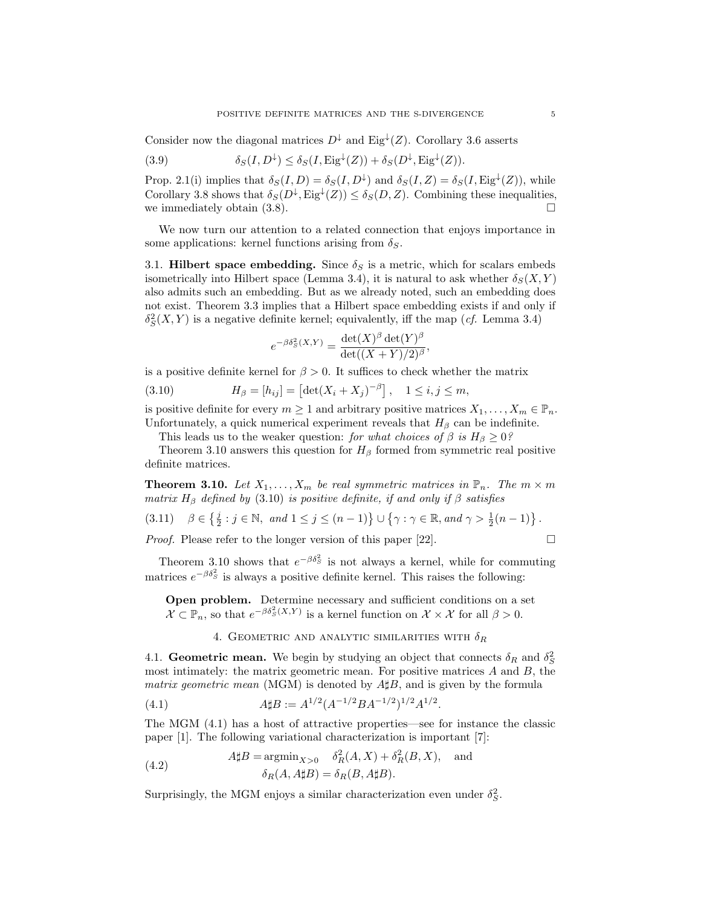Consider now the diagonal matrices  $D^{\downarrow}$  and Eig<sup> $\downarrow$ </sup>(Z). Corollary 3.6 asserts

(3.9) 
$$
\delta_S(I, D^{\downarrow}) \leq \delta_S(I, \text{Eig}^{\downarrow}(Z)) + \delta_S(D^{\downarrow}, \text{Eig}^{\downarrow}(Z)).
$$

Prop. 2.1(i) implies that  $\delta_S(I, D) = \delta_S(I, D^{\downarrow})$  and  $\delta_S(I, Z) = \delta_S(I, \text{Eig}^{\downarrow}(Z))$ , while Corollary 3.8 shows that  $\delta_S(D^{\downarrow}, \text{Eig}^{\downarrow}(Z)) \leq \delta_S(D, Z)$ . Combining these inequalities, we immediately obtain (3.8).

We now turn our attention to a related connection that enjoys importance in some applications: kernel functions arising from  $\delta_S$ .

3.1. Hilbert space embedding. Since  $\delta_S$  is a metric, which for scalars embeds isometrically into Hilbert space (Lemma 3.4), it is natural to ask whether  $\delta_S(X, Y)$ also admits such an embedding. But as we already noted, such an embedding does not exist. Theorem 3.3 implies that a Hilbert space embedding exists if and only if  $\delta_S^2(X,Y)$  is a negative definite kernel; equivalently, iff the map (*cf.* Lemma 3.4)

$$
e^{-\beta \delta_S^2(X,Y)} = \frac{\det(X)^{\beta} \det(Y)^{\beta}}{\det((X+Y)/2)^{\beta}},
$$

is a positive definite kernel for  $\beta > 0$ . It suffices to check whether the matrix

(3.10) 
$$
H_{\beta} = [h_{ij}] = [\det(X_i + X_j)^{-\beta}], \quad 1 \le i, j \le m,
$$

is positive definite for every  $m \geq 1$  and arbitrary positive matrices  $X_1, \ldots, X_m \in \mathbb{P}_n$ . Unfortunately, a quick numerical experiment reveals that  $H_\beta$  can be indefinite.

This leads us to the weaker question: for what choices of  $\beta$  is  $H_{\beta} \geq 0$ ?

Theorem 3.10 answers this question for  $H_\beta$  formed from symmetric real positive definite matrices.

**Theorem 3.10.** Let  $X_1, \ldots, X_m$  be real symmetric matrices in  $\mathbb{P}_n$ . The  $m \times m$ matrix  $H_\beta$  defined by (3.10) is positive definite, if and only if  $\beta$  satisfies

$$
(3.11) \quad \beta \in \left\{ \frac{j}{2} : j \in \mathbb{N}, \text{ and } 1 \le j \le (n-1) \right\} \cup \left\{ \gamma : \gamma \in \mathbb{R}, \text{ and } \gamma > \frac{1}{2}(n-1) \right\}.
$$

*Proof.* Please refer to the longer version of this paper [22].  $\Box$ 

Theorem 3.10 shows that  $e^{-\beta \delta_S^2}$  is not always a kernel, while for commuting matrices  $e^{-\beta \delta_S^2}$  is always a positive definite kernel. This raises the following:

Open problem. Determine necessary and sufficient conditions on a set  $\mathcal{X} \subset \mathbb{P}_n$ , so that  $e^{-\beta \delta_S^2(X,Y)}$  is a kernel function on  $\mathcal{X} \times \mathcal{X}$  for all  $\beta > 0$ .

# 4. GEOMETRIC AND ANALYTIC SIMILARITIES WITH  $\delta_R$

4.1. Geometric mean. We begin by studying an object that connects  $\delta_R$  and  $\delta_S^2$ most intimately: the matrix geometric mean. For positive matrices  $A$  and  $B$ , the matrix geometric mean (MGM) is denoted by  $A\sharp B$ , and is given by the formula

(4.1) 
$$
A \sharp B := A^{1/2} (A^{-1/2} B A^{-1/2})^{1/2} A^{1/2}.
$$

The MGM (4.1) has a host of attractive properties—see for instance the classic paper [1]. The following variational characterization is important [7]:

(4.2) 
$$
A \sharp B = \operatorname{argmin}_{X > 0} \delta_R^2(A, X) + \delta_R^2(B, X), \text{ and}
$$

$$
\delta_R(A, A \sharp B) = \delta_R(B, A \sharp B).
$$

Surprisingly, the MGM enjoys a similar characterization even under  $\delta_S^2$ .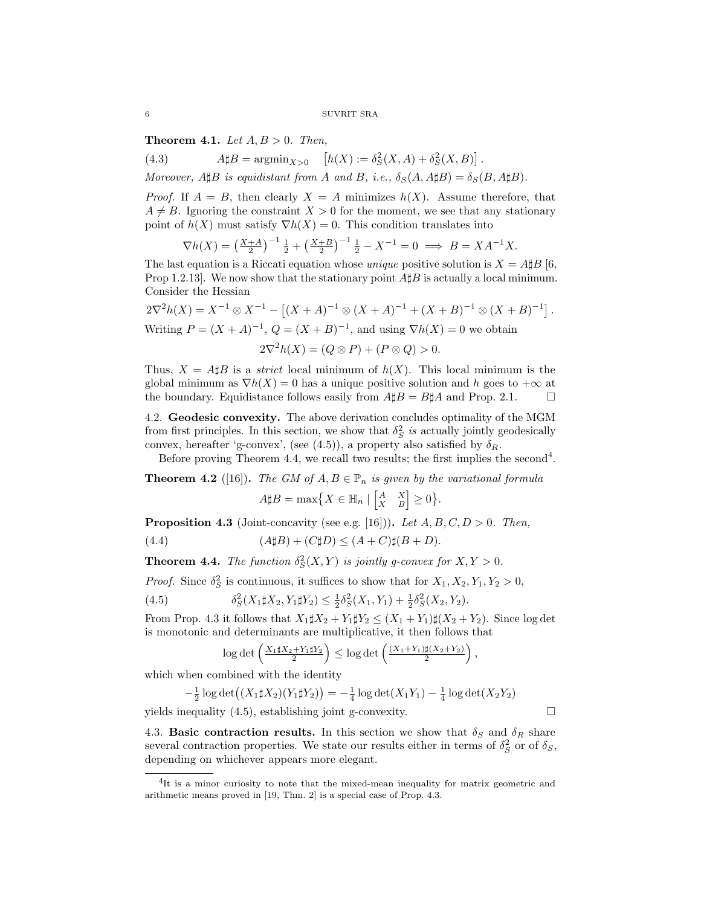**Theorem 4.1.** Let  $A, B > 0$ . Then,

(4.3)  $A \sharp B = \text{argmin}_{X > 0} \left[ h(X) := \delta_S^2(X, A) + \delta_S^2(X, B) \right].$ Moreover,  $A \sharp B$  is equidistant from A and B, i.e.,  $\delta_S(A, A \sharp B) = \delta_S(B, A \sharp B)$ .

*Proof.* If  $A = B$ , then clearly  $X = A$  minimizes  $h(X)$ . Assume therefore, that  $A \neq B$ . Ignoring the constraint  $X > 0$  for the moment, we see that any stationary point of  $h(X)$  must satisfy  $\nabla h(X) = 0$ . This condition translates into

$$
\nabla h(X) = \left(\frac{X+A}{2}\right)^{-1} \frac{1}{2} + \left(\frac{X+B}{2}\right)^{-1} \frac{1}{2} - X^{-1} = 0 \implies B = XA^{-1}X.
$$

The last equation is a Riccati equation whose *unique* positive solution is  $X = A \sharp B$  [6, Prop 1.2.13. We now show that the stationary point  $A\sharp B$  is actually a local minimum. Consider the Hessian

$$
2\nabla^2 h(X) = X^{-1} \otimes X^{-1} - [(X + A)^{-1} \otimes (X + A)^{-1} + (X + B)^{-1} \otimes (X + B)^{-1}].
$$
  
Writing  $P = (X + A)^{-1}, Q = (X + B)^{-1}$ , and using  $\nabla h(X) = 0$  we obtain

$$
2\nabla^2 h(X) = (Q \otimes P) + (P \otimes Q) > 0.
$$

Thus,  $X = A \sharp B$  is a *strict* local minimum of  $h(X)$ . This local minimum is the global minimum as  $\nabla h(X) = 0$  has a unique positive solution and h goes to  $+\infty$  at the boundary. Equidistance follows easily from  $A \sharp B = B \sharp A$  and Prop. 2.1.

4.2. Geodesic convexity. The above derivation concludes optimality of the MGM from first principles. In this section, we show that  $\delta_S^2$  is actually jointly geodesically convex, hereafter 'g-convex', (see (4.5)), a property also satisfied by  $\delta_R$ .

Before proving Theorem 4.4, we recall two results; the first implies the second<sup>4</sup>.

**Theorem 4.2** ([16]). The GM of  $A, B \in \mathbb{P}_n$  is given by the variational formula

$$
A \sharp B = \max \bigl\{ X \in \mathbb{H}_n \mid \begin{bmatrix} A & X \\ X & B \end{bmatrix} \ge 0 \bigr\}.
$$

**Proposition 4.3** (Joint-concavity (see e.g. [16])). Let  $A, B, C, D > 0$ . Then,

(4.4) 
$$
(A\sharp B) + (C\sharp D) \le (A+C)\sharp(B+D).
$$

**Theorem 4.4.** The function  $\delta_S^2(X, Y)$  is jointly g-convex for  $X, Y > 0$ .

*Proof.* Since  $\delta_S^2$  is continuous, it suffices to show that for  $X_1, X_2, Y_1, Y_2 > 0$ ,

(4.5) 
$$
\delta_S^2(X_1 \sharp X_2, Y_1 \sharp Y_2) \leq \frac{1}{2} \delta_S^2(X_1, Y_1) + \frac{1}{2} \delta_S^2(X_2, Y_2).
$$

From Prop. 4.3 it follows that  $X_1 \sharp X_2 + Y_1 \sharp Y_2 \leq (X_1 + Y_1) \sharp (X_2 + Y_2)$ . Since log det is monotonic and determinants are multiplicative, it then follows that

$$
\log\det\left(\tfrac{X_1\sharp X_2+Y_1\sharp Y_2}{2}\right)\leq \log\det\left(\tfrac{(X_1+Y_1)\sharp (X_2+Y_2)}{2}\right),
$$

which when combined with the identity

$$
-\frac{1}{2}\log \det \left( (X_1 \sharp X_2)(Y_1 \sharp Y_2) \right) = -\frac{1}{4}\log \det(X_1 Y_1) - \frac{1}{4}\log \det(X_2 Y_2)
$$
  
inequality (4.5) establish a joint a conservative

yields inequality  $(4.5)$ , establishing joint g-convexity.  $\square$ 

4.3. Basic contraction results. In this section we show that  $\delta_S$  and  $\delta_R$  share several contraction properties. We state our results either in terms of  $\delta_S^2$  or of  $\delta_S$ , depending on whichever appears more elegant.

$$
\overline{\phantom{0}}
$$

<sup>&</sup>lt;sup>4</sup>It is a minor curiosity to note that the mixed-mean inequality for matrix geometric and arithmetic means proved in [19, Thm. 2] is a special case of Prop. 4.3.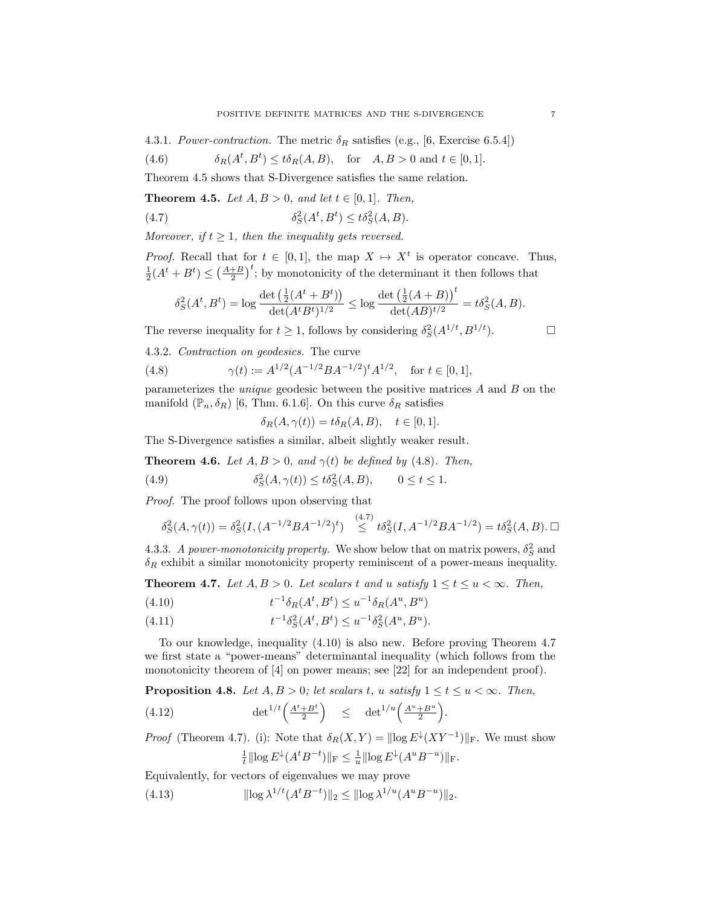4.3.1. Power-contraction. The metric  $\delta_R$  satisfies (e.g., [6, Exercise 6.5.4])

(4.6) 
$$
\delta_R(A^t, B^t) \leq t \delta_R(A, B), \quad \text{for} \quad A, B > 0 \text{ and } t \in [0, 1].
$$

Theorem 4.5 shows that S-Divergence satisfies the same relation.

**Theorem 4.5.** Let  $A, B > 0$ , and let  $t \in [0, 1]$ . Then,

(4.7) 
$$
\delta_S^2(A^t, B^t) \leq t \delta_S^2(A, B).
$$

Moreover, if  $t \geq 1$ , then the inequality gets reversed.

*Proof.* Recall that for  $t \in [0,1]$ , the map  $X \mapsto X^t$  is operator concave. Thus,  $\frac{1}{2}(A^t + B^t) \leq (\frac{A+B}{2})^t$ ; by monotonicity of the determinant it then follows that

$$
\delta_S^2(A^t, B^t) = \log \frac{\det \left( \frac{1}{2}(A^t + B^t) \right)}{\det (A^t B^t)^{1/2}} \leq \log \frac{\det \left( \frac{1}{2}(A+B) \right)^t}{\det (AB)^{t/2}} = t \delta_S^2(A, B).
$$

The reverse inequality for  $t \ge 1$ , follows by considering  $\delta_S^2(A^{1/t}, B^{1/t})$ .

4.3.2. Contraction on geodesics. The curve

(4.8) 
$$
\gamma(t) := A^{1/2} (A^{-1/2} B A^{-1/2})^t A^{1/2}, \text{ for } t \in [0, 1],
$$

parameterizes the *unique* geodesic between the positive matrices  $A$  and  $B$  on the manifold  $(\mathbb{P}_n, \delta_R)$  [6, Thm. 6.1.6]. On this curve  $\delta_R$  satisfies

$$
\delta_R(A, \gamma(t)) = t \delta_R(A, B), \quad t \in [0, 1].
$$

The S-Divergence satisfies a similar, albeit slightly weaker result.

**Theorem 4.6.** Let  $A, B > 0$ , and  $\gamma(t)$  be defined by (4.8). Then,

(4.9) 
$$
\delta_S^2(A, \gamma(t)) \leq t \delta_S^2(A, B), \qquad 0 \leq t \leq 1.
$$

Proof. The proof follows upon observing that

$$
\delta_S^2(A, \gamma(t)) = \delta_S^2(I, (A^{-1/2}BA^{-1/2})^t) \stackrel{(4.7)}{\le} t\delta_S^2(I, A^{-1/2}BA^{-1/2}) = t\delta_S^2(A, B).
$$

4.3.3. A power-monotonicity property. We show below that on matrix powers,  $\delta_S^2$  and  $\delta_R$  exhibit a similar monotonicity property reminiscent of a power-means inequality.

**Theorem 4.7.** Let  $A, B > 0$ . Let scalars t and u satisfy  $1 \le t \le u < \infty$ . Then,

(4.10) 
$$
t^{-1}\delta_R(A^t, B^t) \le u^{-1}\delta_R(A^u, B^u)
$$

(4.11) 
$$
t^{-1} \delta_S^2(A^t, B^t) \le u^{-1} \delta_S^2(A^u, B^u).
$$

To our knowledge, inequality (4.10) is also new. Before proving Theorem 4.7 we first state a "power-means" determinantal inequality (which follows from the monotonicity theorem of [4] on power means; see [22] for an independent proof).

**Proposition 4.8.** Let  $A, B > 0$ ; let scalars t, u satisfy  $1 \le t \le u < \infty$ . Then,

(4.12) 
$$
\det^{1/t}\left(\frac{A^t + B^t}{2}\right) \leq \det^{1/u}\left(\frac{A^u + B^u}{2}\right).
$$

*Proof* (Theorem 4.7). (i): Note that  $\delta_R(X,Y) = ||\log E^{\downarrow}(XY^{-1})||_F$ . We must show  $\frac{1}{t} \|\log E^{\downarrow}(A^t B^{-t})\|_{\text{F}} \leq \frac{1}{u} \|\log E^{\downarrow}(A^u B^{-u})\|_{\text{F}}.$ 

Equivalently, for vectors of eigenvalues we may prove

(4.13) 
$$
\|\log \lambda^{1/t} (A^t B^{-t})\|_2 \le \|\log \lambda^{1/u} (A^u B^{-u})\|_2.
$$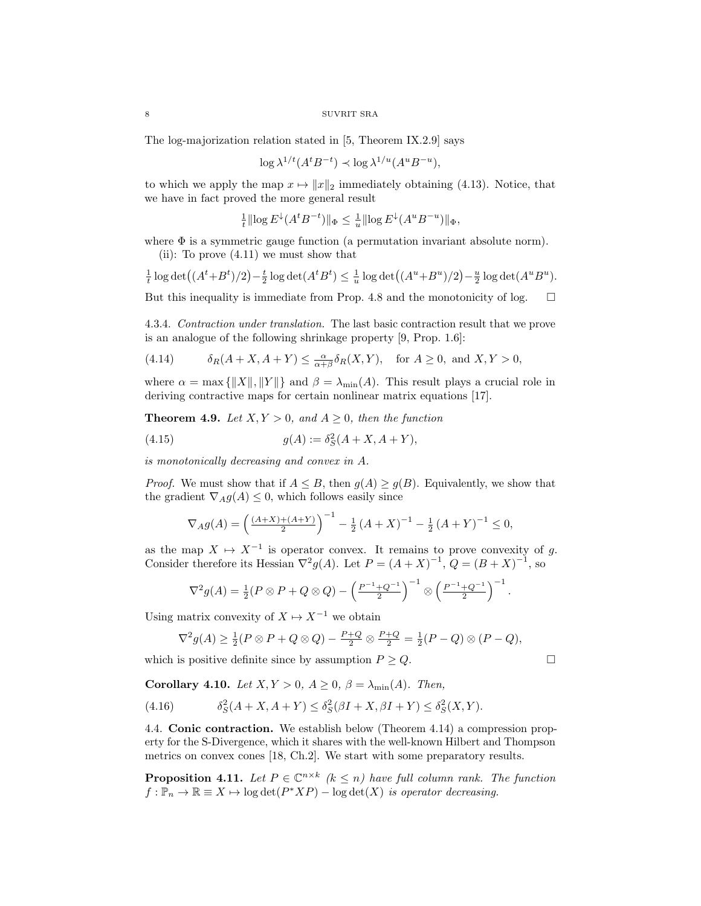The log-majorization relation stated in [5, Theorem IX.2.9] says

$$
\log \lambda^{1/t} (A^t B^{-t}) \prec \log \lambda^{1/u} (A^u B^{-u}),
$$

to which we apply the map  $x \mapsto ||x||_2$  immediately obtaining (4.13). Notice, that we have in fact proved the more general result

$$
\frac{1}{t} \|\log E^{\downarrow}(A^t B^{-t})\|_{\Phi} \le \frac{1}{u} \|\log E^{\downarrow}(A^u B^{-u})\|_{\Phi},
$$

where  $\Phi$  is a symmetric gauge function (a permutation invariant absolute norm). (ii): To prove (4.11) we must show that

$$
\frac{1}{t}\log\det((A^t+B^t)/2)-\frac{t}{2}\log\det(A^tB^t)\leq \frac{1}{u}\log\det((A^u+B^u)/2)-\frac{u}{2}\log\det(A^uB^u).
$$

But this inequality is immediate from Prop. 4.8 and the monotonicity of log.  $\Box$ 

4.3.4. Contraction under translation. The last basic contraction result that we prove is an analogue of the following shrinkage property [9, Prop. 1.6]:

(4.14) 
$$
\delta_R(A+X, A+Y) \leq \frac{\alpha}{\alpha+\beta}\delta_R(X, Y), \text{ for } A \geq 0, \text{ and } X, Y > 0,
$$

where  $\alpha = \max{\{\Vert X \Vert, \Vert Y \Vert\}}$  and  $\beta = \lambda_{\min}(A)$ . This result plays a crucial role in deriving contractive maps for certain nonlinear matrix equations [17].

**Theorem 4.9.** Let  $X, Y > 0$ , and  $A \geq 0$ , then the function

(4.15) 
$$
g(A) := \delta_S^2(A + X, A + Y),
$$

is monotonically decreasing and convex in A.

*Proof.* We must show that if  $A \leq B$ , then  $g(A) \geq g(B)$ . Equivalently, we show that the gradient  $\nabla_A g(A) \leq 0$ , which follows easily since

$$
\nabla_A g(A) = \left(\frac{(A+X)+(A+Y)}{2}\right)^{-1} - \frac{1}{2}(A+X)^{-1} - \frac{1}{2}(A+Y)^{-1} \le 0,
$$

as the map  $X \mapsto X^{-1}$  is operator convex. It remains to prove convexity of g. Consider therefore its Hessian  $\nabla^2 g(A)$ . Let  $P = (A + X)^{-1}$ ,  $Q = (B + X)^{-1}$ , so

$$
\nabla^2 g(A) = \frac{1}{2} (P \otimes P + Q \otimes Q) - \left(\frac{P^{-1} + Q^{-1}}{2}\right)^{-1} \otimes \left(\frac{P^{-1} + Q^{-1}}{2}\right)^{-1}
$$

Using matrix convexity of  $X \mapsto X^{-1}$  we obtain

$$
\nabla^2 g(A) \ge \frac{1}{2}(P \otimes P + Q \otimes Q) - \frac{P+Q}{2} \otimes \frac{P+Q}{2} = \frac{1}{2}(P-Q) \otimes (P-Q),
$$

which is positive definite since by assumption  $P \ge Q$ .

.

Corollary 4.10. Let  $X, Y > 0$ ,  $A \ge 0$ ,  $\beta = \lambda_{\min}(A)$ . Then,

(4.16) 
$$
\delta_S^2(A + X, A + Y) \leq \delta_S^2(\beta I + X, \beta I + Y) \leq \delta_S^2(X, Y).
$$

4.4. Conic contraction. We establish below (Theorem 4.14) a compression property for the S-Divergence, which it shares with the well-known Hilbert and Thompson metrics on convex cones [18, Ch.2]. We start with some preparatory results.

**Proposition 4.11.** Let  $P \in \mathbb{C}^{n \times k}$  ( $k \leq n$ ) have full column rank. The function  $f : \mathbb{P}_n \to \mathbb{R} \equiv X \mapsto \log \det(P^*XP) - \log \det(X)$  is operator decreasing.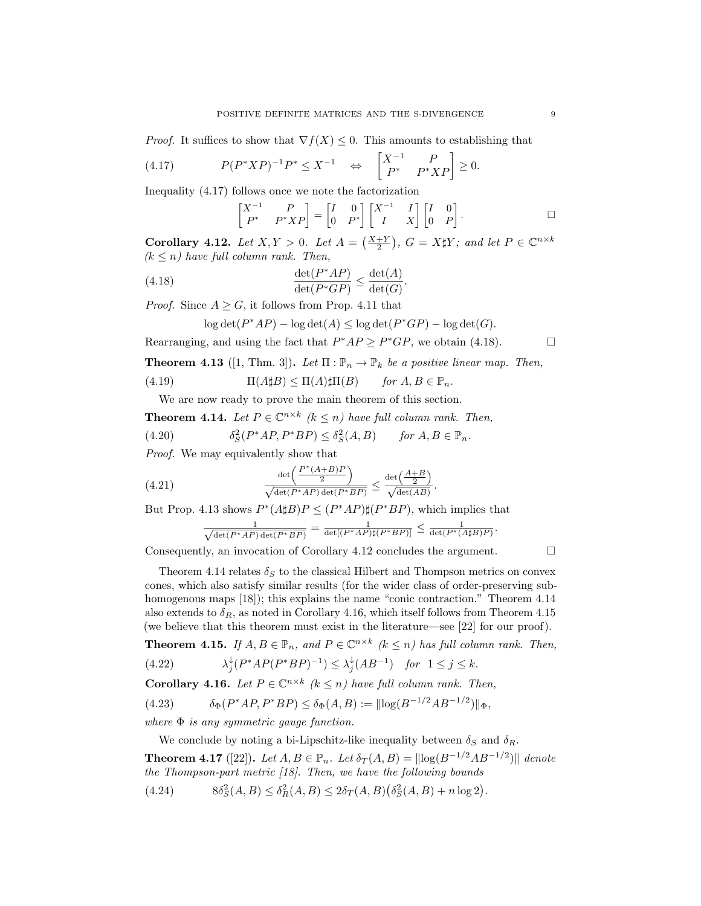*Proof.* It suffices to show that  $\nabla f(X) \leq 0$ . This amounts to establishing that

$$
(4.17) \tP(P^*XP)^{-1}P^* \leq X^{-1} \Leftrightarrow \begin{bmatrix} X^{-1} & P \\ P^* & P^*XP \end{bmatrix} \geq 0.
$$

Inequality (4.17) follows once we note the factorization

$$
\begin{bmatrix} X^{-1} & P \\ P^* & P^*XP \end{bmatrix} = \begin{bmatrix} I & 0 \\ 0 & P^* \end{bmatrix} \begin{bmatrix} X^{-1} & I \\ I & X \end{bmatrix} \begin{bmatrix} I & 0 \\ 0 & P \end{bmatrix}.
$$

**Corollary 4.12.** Let  $X, Y > 0$ . Let  $A = \left(\frac{X+Y}{2}\right)$ ,  $G = X \sharp Y$ ; and let  $P \in \mathbb{C}^{n \times k}$  $(k \leq n)$  have full column rank. Then,

(4.18) 
$$
\frac{\det(P^*AP)}{\det(P^*GP)} \le \frac{\det(A)}{\det(G)}.
$$

*Proof.* Since  $A \geq G$ , it follows from Prop. 4.11 that

$$
\log \det(P^*AP) - \log \det(A) \le \log \det(P^*GP) - \log \det(G).
$$

Rearranging, and using the fact that  $P^*AP \geq P^*GP$ , we obtain (4.18).

**Theorem 4.13** ([1, Thm. 3]). Let  $\Pi : \mathbb{P}_n \to \mathbb{P}_k$  be a positive linear map. Then,

(4.19) 
$$
\Pi(A\sharp B) \leq \Pi(A)\sharp\Pi(B) \quad \text{for } A, B \in \mathbb{P}_n.
$$

We are now ready to prove the main theorem of this section.

**Theorem 4.14.** Let  $P \in \mathbb{C}^{n \times k}$  ( $k \leq n$ ) have full column rank. Then,

(4.20) 
$$
\delta_S^2(P^*AP, P^*BP) \leq \delta_S^2(A, B) \quad \text{for } A, B \in \mathbb{P}_n.
$$

Proof. We may equivalently show that

(4.21) 
$$
\frac{\det\left(\frac{P^*(A+B)P}{2}\right)}{\sqrt{\det(P^*AP)\det(P^*BP)}} \le \frac{\det\left(\frac{A+B}{2}\right)}{\sqrt{\det(AB)}}.
$$

But Prop. 4.13 shows  $P^*(A \sharp B)P \leq (P^*AP) \sharp (P^*BP)$ , which implies that

$$
\frac{1}{\sqrt{\det(P^*AP)\det(P^*BP)}}=\frac{1}{\det[(P^*AP)\sharp(P^*BP)]}\leq \frac{1}{\det(P^*(A\sharp B)P)}
$$

Consequently, an invocation of Corollary 4.12 concludes the argument.  $\Box$ 

$$
\Box
$$

.

Theorem 4.14 relates  $\delta_S$  to the classical Hilbert and Thompson metrics on convex cones, which also satisfy similar results (for the wider class of order-preserving subhomogenous maps [18]); this explains the name "conic contraction." Theorem 4.14 also extends to  $\delta_R$ , as noted in Corollary 4.16, which itself follows from Theorem 4.15 (we believe that this theorem must exist in the literature—see [22] for our proof).

**Theorem 4.15.** If  $A, B \in \mathbb{P}_n$ , and  $P \in \mathbb{C}^{n \times k}$  ( $k \leq n$ ) has full column rank. Then,

$$
(4.22) \qquad \lambda_j^{\downarrow}(P^*AP(P^*BP)^{-1}) \le \lambda_j^{\downarrow}(AB^{-1}) \quad \text{for } 1 \le j \le k.
$$

**Corollary 4.16.** Let  $P \in \mathbb{C}^{n \times k}$  ( $k \leq n$ ) have full column rank. Then,

(4.23) δΦ(P <sup>∗</sup>AP, P<sup>∗</sup>BP) ≤ δΦ(A, B) := klog(B <sup>−</sup>1/<sup>2</sup>AB<sup>−</sup>1/<sup>2</sup> )kΦ,

where  $\Phi$  is any symmetric gauge function.

We conclude by noting a bi-Lipschitz-like inequality between  $\delta_S$  and  $\delta_R$ .

**Theorem 4.17** ([22]). Let  $A, B \in \mathbb{P}_n$ . Let  $\delta_T(A, B) = ||log(B^{-1/2}AB^{-1/2})||$  denote the Thompson-part metric [18]. Then, we have the following bounds

 $(4.24)$  $2^2(S(A, B) \leq \delta_R^2(A, B) \leq 2\delta_T(A, B)(\delta_S^2(A, B) + n \log 2).$